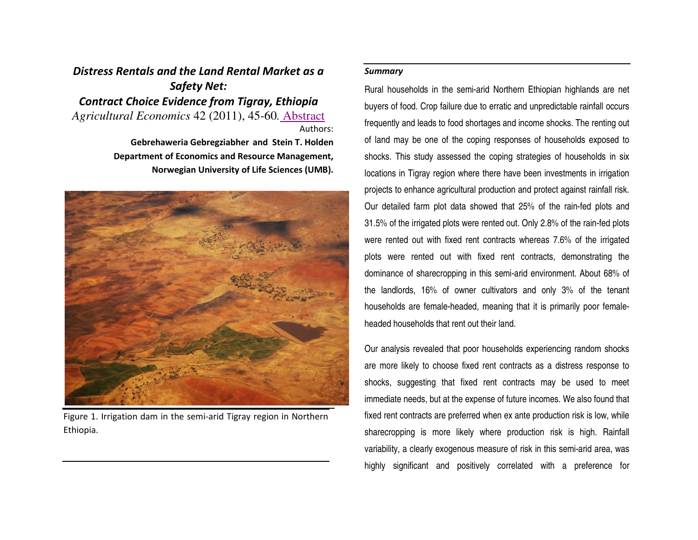## *Distress Rentals and the Land Rental Market as a Safety Net: Contract Choice Evidence from Tigray, Ethiopia Agricultural Economics* 42 (2011), 45-60*.* AbstractAuthors:

**Gebrehaweria Gebregziabher and Stein T. Holden Department of Economics and Resource Management, Norwegian University of Life Sciences (UMB).** 



Figure 1. Irrigation dam in the semi-arid Tigray region in Northern Ethiopia.

## *Summary*

Rural households in the semi-arid Northern Ethiopian highlands are net buyers of food. Crop failure due to erratic and unpredictable rainfall occurs frequently and leads to food shortages and income shocks. The renting out of land may be one of the coping responses of households exposed to shocks. This study assessed the coping strategies of households in six locations in Tigray region where there have been investments in irrigation projects to enhance agricultural production and protect against rainfall risk. Our detailed farm plot data showed that 25% of the rain-fed plots and 31.5% of the irrigated plots were rented out. Only 2.8% of the rain-fed plots were rented out with fixed rent contracts whereas 7.6% of the irrigated plots were rented out with fixed rent contracts, demonstrating the dominance of sharecropping in this semi-arid environment. About 68% of the landlords, 16% of owner cultivators and only 3% of the tenant households are female-headed, meaning that it is primarily poor femaleheaded households that rent out their land.

Our analysis revealed that poor households experiencing random shocks are more likely to choose fixed rent contracts as a distress response to shocks, suggesting that fixed rent contracts may be used to meet immediate needs, but at the expense of future incomes. We also found that fixed rent contracts are preferred when ex ante production risk is low, while sharecropping is more likely where production risk is high. Rainfall variability, a clearly exogenous measure of risk in this semi-arid area, was highly significant and positively correlated with a preference for